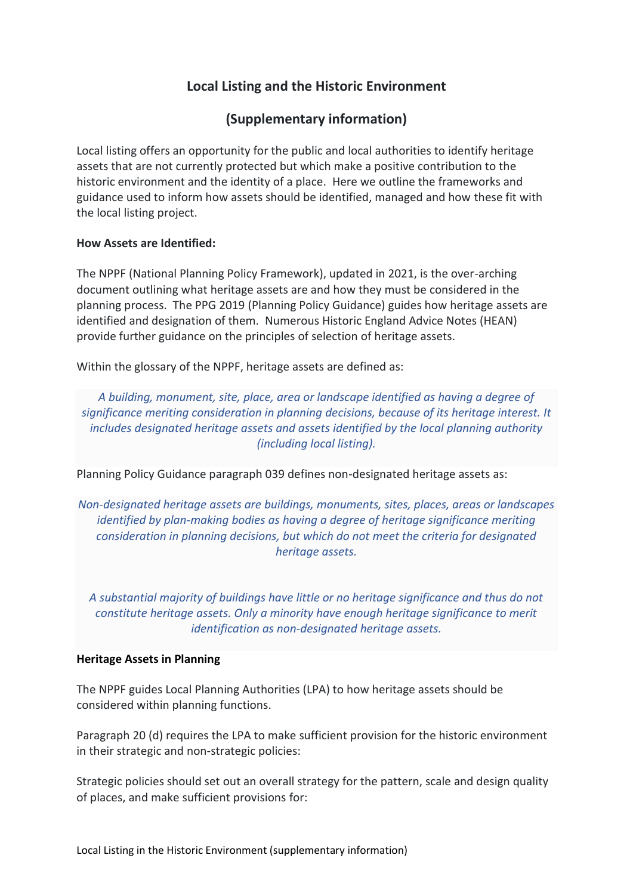# **Local Listing and the Historic Environment**

# **(Supplementary information)**

Local listing offers an opportunity for the public and local authorities to identify heritage assets that are not currently protected but which make a positive contribution to the historic environment and the identity of a place. Here we outline the frameworks and guidance used to inform how assets should be identified, managed and how these fit with the local listing project.

## **How Assets are Identified:**

The NPPF (National Planning Policy Framework), updated in 2021, is the over-arching document outlining what heritage assets are and how they must be considered in the planning process. The PPG 2019 (Planning Policy Guidance) guides how heritage assets are identified and designation of them. Numerous Historic England Advice Notes (HEAN) provide further guidance on the principles of selection of heritage assets.

Within the glossary of the NPPF, heritage assets are defined as:

*A building, monument, site, place, area or landscape identified as having a degree of significance meriting consideration in planning decisions, because of its heritage interest. It includes designated heritage assets and assets identified by the local planning authority (including local listing).*

Planning Policy Guidance paragraph 039 defines non-designated heritage assets as:

*Non-designated heritage assets are buildings, monuments, sites, places, areas or landscapes identified by plan-making bodies as having a degree of heritage significance meriting consideration in planning decisions, but which do not meet the criteria for designated heritage assets.*

*A substantial majority of buildings have little or no heritage significance and thus do not constitute heritage assets. Only a minority have enough heritage significance to merit identification as non-designated heritage assets.*

### **Heritage Assets in Planning**

The NPPF guides Local Planning Authorities (LPA) to how heritage assets should be considered within planning functions.

Paragraph 20 (d) requires the LPA to make sufficient provision for the historic environment in their strategic and non-strategic policies:

Strategic policies should set out an overall strategy for the pattern, scale and design quality of places, and make sufficient provisions for: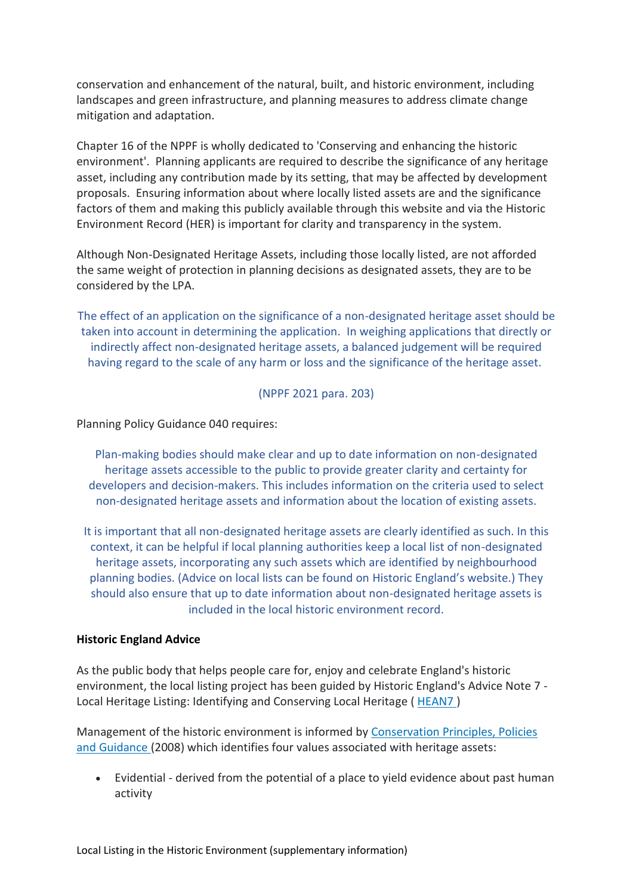conservation and enhancement of the natural, built, and historic environment, including landscapes and green infrastructure, and planning measures to address climate change mitigation and adaptation.

Chapter 16 of the NPPF is wholly dedicated to 'Conserving and enhancing the historic environment'. Planning applicants are required to describe the significance of any heritage asset, including any contribution made by its setting, that may be affected by development proposals. Ensuring information about where locally listed assets are and the significance factors of them and making this publicly available through this website and via the Historic Environment Record (HER) is important for clarity and transparency in the system.

Although Non-Designated Heritage Assets, including those locally listed, are not afforded the same weight of protection in planning decisions as designated assets, they are to be considered by the LPA.

The effect of an application on the significance of a non-designated heritage asset should be taken into account in determining the application. In weighing applications that directly or indirectly affect non-designated heritage assets, a balanced judgement will be required having regard to the scale of any harm or loss and the significance of the heritage asset.

(NPPF 2021 para. 203)

Planning Policy Guidance 040 requires:

Plan-making bodies should make clear and up to date information on non-designated heritage assets accessible to the public to provide greater clarity and certainty for developers and decision-makers. This includes information on the criteria used to select non-designated heritage assets and information about the location of existing assets.

It is important that all non-designated heritage assets are clearly identified as such. In this context, it can be helpful if local planning authorities keep a local list of non-designated heritage assets, incorporating any such assets which are identified by neighbourhood planning bodies. (Advice on local lists can be found on Historic England's website.) They should also ensure that up to date information about non-designated heritage assets is included in the local historic environment record.

### **Historic England Advice**

As the public body that helps people care for, enjoy and celebrate England's historic environment, the local listing project has been guided by Historic England's Advice Note 7 - Local Heritage Listing: Identifying and Conserving Local Heritage ([HEAN7](https://historicengland.org.uk/images-books/publications/local-heritage-listing-advice-note-7/))

Management of the historic environment is informed by [Conservation Principles, Policies](https://historicengland.org.uk/advice/constructive-conservation/conservation-principles/)  [and Guidance](https://historicengland.org.uk/advice/constructive-conservation/conservation-principles/) (2008) which identifies four values associated with heritage assets:

• Evidential - derived from the potential of a place to yield evidence about past human activity